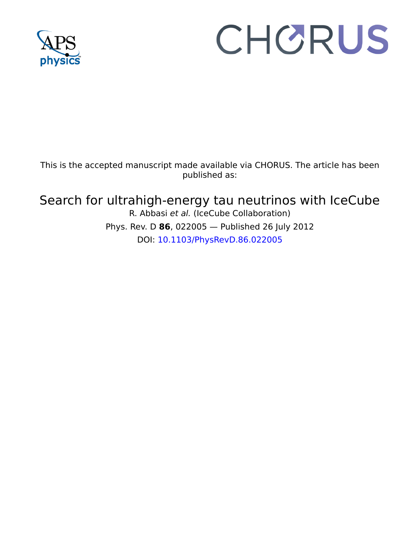

# CHORUS

This is the accepted manuscript made available via CHORUS. The article has been published as:

# Search for ultrahigh-energy tau neutrinos with IceCube

R. Abbasi et al. (IceCube Collaboration) Phys. Rev. D **86**, 022005 — Published 26 July 2012 DOI: 10.1103/PhysRevD.86.022005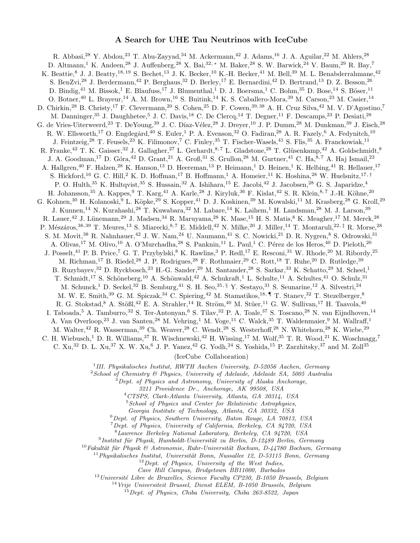# A Search for UHE Tau Neutrinos with IceCube

1, "D. Gora," D. Grant," A. Grob," S. Grunon," M. Gurut.<br>
Halzen, 28 K. Hanson, <sup>13</sup> D. Heereman, <sup>13</sup> P. Heimann, <sup>1</sup> D. Heiman, 1.<br>
G. C. Hill,<sup>2</sup> K. Hoson, <sup>13</sup> D. Heereman, <sup>13</sup> P. Heimann, <sup>1</sup> D. Heiman, <sup>1</sup> O. Hill, interig.<sup>28</sup> T. Fensek, <sup>28</sup> K. Fillmontov <sup>7</sup> C. Ehelpy.<sup>39</sup> T. Fischer Wassel,<sup>5,11</sup> K. Fills,<sup>28</sup> A. Franchoff,<sup>28</sup> K. Gaisser,<sup>22</sup> I. Gaisser,<sup>22</sup> I. Gaisser,<sup>22</sup> I. Gaisser,<sup>22</sup> I. Gaisser,<sup>22</sup> I. Gaisser,<sup>22</sup> I. Gai R. Abbasi,<sup>28</sup> Y. Abdou,<sup>23</sup> T. Abu-Zayyad,<sup>34</sup> M. Ackermann,<sup>42</sup> J. Adams,<sup>16</sup> J. A. Aguilar,<sup>22</sup> M. Ahlers,<sup>28</sup> D. Altmann,<sup>1</sup> K. Andeen,<sup>28</sup> J. Auffenberg,<sup>28</sup> X. Bai,<sup>32,</sup> ∗ M. Baker,<sup>28</sup> S. W. Barwick,<sup>24</sup> V. Baum,<sup>29</sup> R. Bay,<sup>7</sup> K. Beattie,<sup>8</sup> J. J. Beatty,<sup>18, 19</sup> S. Bechet,<sup>13</sup> J. K. Becker,<sup>10</sup> K.-H. Becker,<sup>41</sup> M. Bell,<sup>39</sup> M. L. Benabderrahmane,<sup>42</sup> S. BenZvi,<sup>28</sup> J. Berdermann,<sup>42</sup> P. Berghaus,<sup>32</sup> D. Berley,<sup>17</sup> E. Bernardini,<sup>42</sup> D. Bertrand,<sup>13</sup> D. Z. Besson,<sup>26</sup> D. Bindig,<sup>41</sup> M. Bissok,<sup>1</sup> E. Blaufuss,<sup>17</sup> J. Blumenthal,<sup>1</sup> D. J. Boersma,<sup>1</sup> C. Bohm,<sup>35</sup> D. Bose,<sup>14</sup> S. Böser,<sup>11</sup> O. Botner,<sup>40</sup> L. Brayeur,<sup>14</sup> A. M. Brown,<sup>16</sup> S. Buitink,<sup>14</sup> K. S. Caballero-Mora,<sup>39</sup> M. Carson,<sup>23</sup> M. Casier,<sup>14</sup> D. Chirkin,<sup>28</sup> B. Christy,<sup>17</sup> F. Clevermann,<sup>20</sup> S. Cohen,<sup>25</sup> D. F. Cowen,<sup>39, 38</sup> A. H. Cruz Silva,<sup>42</sup> M. V. D'Agostino,<sup>7</sup> M. Danninger,<sup>35</sup> J. Daughhetee,<sup>5</sup> J. C. Davis,<sup>18</sup> C. De Clercq,<sup>14</sup> T. Degner,<sup>11</sup> F. Descamps,<sup>23</sup> P. Desiati,<sup>28</sup> G. de Vries-Uiterweerd,<sup>23</sup> T. DeYoung,<sup>39</sup> J. C. Díaz-Vélez,<sup>28</sup> J. Dreyer,<sup>10</sup> J. P. Dumm,<sup>28</sup> M. Dunkman,<sup>39</sup> J. Eisch,<sup>28</sup> R. W. Ellsworth,<sup>17</sup> O. Engdegård,<sup>40</sup> S. Euler,<sup>1</sup> P. A. Evenson,<sup>32</sup> O. Fadiran,<sup>28</sup> A. R. Fazely,<sup>6</sup> A. Fedynitch,<sup>10</sup> J. Feintzeig,<sup>28</sup> T. Feusels,<sup>23</sup> K. Filimonov,<sup>7</sup> C. Finley,<sup>35</sup> T. Fischer-Wasels,<sup>41</sup> S. Flis,<sup>35</sup> A. Franckowiak,<sup>11</sup> R. Franke,<sup>42</sup> T. K. Gaisser,<sup>32</sup> J. Gallagher,<sup>27</sup> L. Gerhardt,<sup>8,7</sup> L. Gladstone,<sup>28</sup> T. Glüsenkamp,<sup>42</sup> A. Goldschmidt,<sup>8</sup> J. A. Goodman,<sup>17</sup> D. Góra,<sup>42</sup> D. Grant,<sup>21</sup> A. Groß,<sup>31</sup> S. Grullon,<sup>28</sup> M. Gurtner,<sup>41</sup> C. Ha,<sup>8,7</sup> A. Haj Ismail,<sup>23</sup> A. Hallgren,<sup>40</sup> F. Halzen,<sup>28</sup> K. Hanson,<sup>13</sup> D. Heereman,<sup>13</sup> P. Heimann,<sup>1</sup> D. Heinen,<sup>1</sup> K. Helbing,<sup>41</sup> R. Hellauer,<sup>17</sup> S. Hickford,<sup>16</sup> G. C. Hill,<sup>2</sup> K. D. Hoffman,<sup>17</sup> B. Hoffmann,<sup>1</sup> A. Homeier,<sup>11</sup> K. Hoshina,<sup>28</sup> W. Huelsnitz,<sup>17,†</sup> P. O. Hulth,<sup>35</sup> K. Hultqvist,<sup>35</sup> S. Hussain,<sup>32</sup> A. Ishihara,<sup>15</sup> E. Jacobi,<sup>42</sup> J. Jacobsen,<sup>28</sup> G. S. Japaridze,<sup>4</sup> H. Johansson,<sup>35</sup> A. Kappes,<sup>9</sup> T. Karg,<sup>41</sup> A. Karle,<sup>28</sup> J. Kiryluk,<sup>36</sup> F. Kislat,<sup>42</sup> S. R. Klein,<sup>8,7</sup> J.-H. Köhne,<sup>20</sup> G. Kohnen,<sup>30</sup> H. Kolanoski,<sup>9</sup> L. Köpke,<sup>29</sup> S. Kopper,<sup>41</sup> D. J. Koskinen,<sup>39</sup> M. Kowalski,<sup>11</sup> M. Krasberg,<sup>28</sup> G. Kroll,<sup>29</sup> J. Kunnen,<sup>14</sup> N. Kurahashi,<sup>28</sup> T. Kuwabara,<sup>32</sup> M. Labare,<sup>14</sup> K. Laihem,<sup>1</sup> H. Landsman,<sup>28</sup> M. J. Larson,<sup>39</sup> R. Lauer,<sup>42</sup> J. Lünemann,<sup>29</sup> J. Madsen,<sup>34</sup> R. Maruyama,<sup>28</sup> K. Mase,<sup>15</sup> H. S. Matis,<sup>8</sup> K. Meagher,<sup>17</sup> M. Merck,<sup>28</sup> P. Mészáros,<sup>38, 39</sup> T. Meures,<sup>13</sup> S. Miarecki,<sup>8,7</sup> E. Middell,<sup>42</sup> N. Milke,<sup>20</sup> J. Miller,<sup>14</sup> T. Montaruli,<sup>22, ‡</sup> R. Morse,<sup>28</sup> S. M. Movit,<sup>38</sup> R. Nahnhauer,<sup>42</sup> J. W. Nam,<sup>24</sup> U. Naumann,<sup>41</sup> S. C. Nowicki,<sup>21</sup> D. R. Nygren,<sup>8</sup> S. Odrowski,<sup>31</sup> A. Olivas,<sup>17</sup> M. Olivo,<sup>10</sup> A. O'Murchadha,<sup>28</sup> S. Panknin,<sup>11</sup> L. Paul,<sup>1</sup> C. Pérez de los Heros,<sup>40</sup> D. Pieloth,<sup>20</sup> J. Posselt,<sup>41</sup> P. B. Price,<sup>7</sup> G. T. Przybylski,<sup>8</sup> K. Rawlins,<sup>3</sup> P. Redl,<sup>17</sup> E. Resconi,<sup>31</sup> W. Rhode,<sup>20</sup> M. Ribordy,<sup>25</sup> M. Richman,<sup>17</sup> B. Riedel,<sup>28</sup> J. P. Rodrigues,<sup>28</sup> F. Rothmaier,<sup>29</sup> C. Rott,<sup>18</sup> T. Ruhe,<sup>20</sup> D. Rutledge,<sup>39</sup> B. Ruzybayev,<sup>32</sup> D. Ryckbosch,<sup>23</sup> H.-G. Sander,<sup>29</sup> M. Santander,<sup>28</sup> S. Sarkar,<sup>33</sup> K. Schatto,<sup>29</sup> M. Scheel,<sup>1</sup> T. Schmidt,<sup>17</sup> S. Schöneberg,<sup>10</sup> A. Schönwald,<sup>42</sup> A. Schukraft,<sup>1</sup> L. Schulte,<sup>11</sup> A. Schultes,<sup>41</sup> O. Schulz,<sup>31</sup> M. Schunck,<sup>1</sup> D. Seckel,<sup>32</sup> B. Semburg,<sup>41</sup> S. H. Seo,<sup>35, §</sup> Y. Sestayo,<sup>31</sup> S. Seunarine,<sup>12</sup> A. Silvestri,<sup>24</sup> M. W. E. Smith,<sup>39</sup> G. M. Spiczak,<sup>34</sup> C. Spiering,<sup>42</sup> M. Stamatikos,<sup>18, ¶</sup> T. Stanev,<sup>32</sup> T. Stezelberger,<sup>8</sup> R. G. Stokstad,<sup>8</sup> A. Stößl,<sup>42</sup> E. A. Strahler,<sup>14</sup> R. Ström,<sup>40</sup> M. Stüer,<sup>11</sup> G. W. Sullivan,<sup>17</sup> H. Taavola,<sup>40</sup> I. Taboada,<sup>5</sup> A. Tamburro,<sup>32</sup> S. Ter-Antonyan,<sup>6</sup> S. Tilav,<sup>32</sup> P. A. Toale,<sup>37</sup> S. Toscano,<sup>28</sup> N. van Eijndhoven,<sup>14</sup> A. Van Overloop,<sup>23</sup> J. van Santen,<sup>28</sup> M. Vehring,<sup>1</sup> M. Voge,<sup>11</sup> C. Walck,<sup>35</sup> T. Waldenmaier,<sup>9</sup> M. Wallraff,<sup>1</sup> M. Walter,<sup>42</sup> R. Wasserman,<sup>39</sup> Ch. Weaver,<sup>28</sup> C. Wendt,<sup>28</sup> S. Westerhoff,<sup>28</sup> N. Whitehorn,<sup>28</sup> K. Wiebe,<sup>29</sup> C. H. Wiebusch,<sup>1</sup> D. R. Williams,<sup>37</sup> R. Wischnewski,<sup>42</sup> H. Wissing,<sup>17</sup> M. Wolf,<sup>35</sup> T. R. Wood,<sup>21</sup> K. Woschnagg,<sup>7</sup> C. Xu,<sup>32</sup> D. L. Xu,<sup>37</sup> X. W. Xu,<sup>6</sup> J. P. Yanez,<sup>42</sup> G. Yodh,<sup>24</sup> S. Yoshida,<sup>15</sup> P. Zarzhitsky,<sup>37</sup> and M. Zoll<sup>35</sup>

(IceCube Collaboration)

<sup>1</sup>III. Physikalisches Institut, RWTH Aachen University, D-52056 Aachen, Germany

 $2$ School of Chemistry  $\mathcal B$  Physics, University of Adelaide, Adelaide SA, 5005 Australia

- <sup>3</sup>Dept. of Physics and Astronomy, University of Alaska Anchorage,
	- 3211 Providence Dr., Anchorage, AK 99508, USA
	- <sup>4</sup>CTSPS, Clark-Atlanta University, Atlanta, GA 30314, USA
	- <sup>5</sup> School of Physics and Center for Relativistic Astrophysics,
	- Georgia Institute of Technology, Atlanta, GA 30332, USA

<sup>6</sup>Dept. of Physics, Southern University, Baton Rouge, LA 70813, USA

 $^7$ Dept. of Physics, University of California, Berkeley, CA 94720, USA

<sup>8</sup>Lawrence Berkeley National Laboratory, Berkeley, CA 94720, USA

 $^9$ Institut für Physik, Humboldt-Universität zu Berlin, D-12489 Berlin, Germany

 $10Fakultät für Physik & Astronomie, Ruhr-Universität Bochum, D-44780 Bochum, Germany$ 

 $11$ Physikalisches Institut, Universität Bonn, Nussallee 12, D-53115 Bonn, Germany

 $12$  Dept. of Physics, University of the West Indies,

Cave Hill Campus, Bridgetown BB11000, Barbados

 $^{13}$ Université Libre de Bruxelles, Science Faculty CP230, B-1050 Brussels, Belgium

<sup>14</sup> Vrije Universiteit Brussel, Dienst ELEM, B-1050 Brussels, Belgium

 $^{15}$ Dept. of Physics, Chiba University, Chiba 263-8522, Japan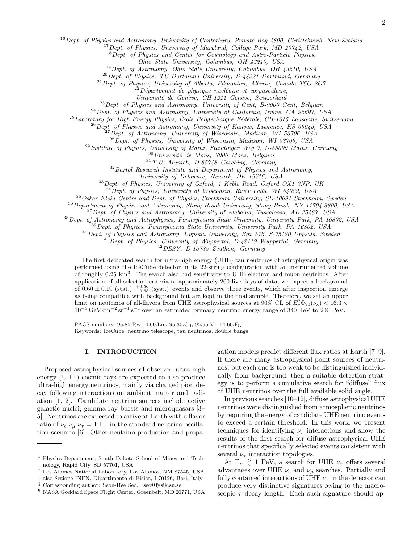$16$  Dept. of Physics and Astronomy, University of Canterbury, Private Bag  $4800$ , Christchurch, New Zealand

<sup>17</sup> Dept. of Physics, University of Maryland, College Park, MD 20742, USA

<sup>18</sup> Dept. of Physics and Center for Cosmology and Astro-Particle Physics,

Ohio State University, Columbus, OH 43210, USA

 $19$  Dept. of Astronomy, Ohio State University, Columbus, OH 43210, USA

 $^{20}$ Dept. of Physics, TU Dortmund University, D-44221 Dortmund, Germany

 $^{21}$  Dept. of Physics, University of Alberta, Edmonton, Alberta, Canada T6G 2G7

 $22$ Département de physique nucléaire et corpusculaire,

Université de Genève, CH-1211 Genève, Switzerland

 $^{23}$ Dept. of Physics and Astronomy, University of Gent, B-9000 Gent, Belgium

 $^{24}$  Dept. of Physics and Astronomy, University of California, Irvine, CA 92697, USA

 $^{25}$ Laboratory for High Energy Physics, École Polytechnique Fédérale, CH-1015 Lausanne, Switzerland

<sup>26</sup> Dept. of Physics and Astronomy, University of Kansas, Lawrence, KS 66045, USA

 $^{27}$ Dept. of Astronomy, University of Wisconsin, Madison, WI 53706, USA

 $^{28}$ Dept. of Physics, University of Wisconsin, Madison, WI 53706, USA

<sup>29</sup> Institute of Physics, University of Mainz, Staudinger Weg 7, D-55099 Mainz, Germany

 $^{30}\,Universit\acute{e}$  de Mons, 7000 Mons, Belgium

 $31$  T.U. Munich, D-85748 Garching, Germany

 $32$  Bartol Research Institute and Department of Physics and Astronomy,

University of Delaware, Newark, DE 19716, USA

<sup>33</sup> Dept. of Physics, University of Oxford, 1 Keble Road, Oxford OX1 3NP, UK

<sup>34</sup>Dept. of Physics, University of Wisconsin, River Falls, WI 54022, USA

<sup>35</sup>Oskar Klein Centre and Dept. of Physics, Stockholm University, SE-10691 Stockholm, Sweden

<sup>36</sup>Department of Physics and Astronomy, Stony Brook University, Stony Brook, NY 11794-3800, USA

 $37$  Dept. of Physics and Astronomy, University of Alabama, Tuscaloosa, AL 35487, USA

<sup>38</sup>Dept. of Astronomy and Astrophysics, Pennsylvania State University, University Park, PA 16802, USA

<sup>39</sup>Dept. of Physics, Pennsylvania State University, University Park, PA 16802, USA

<sup>40</sup>Dept. of Physics and Astronomy, Uppsala University, Box 516, S-75120 Uppsala, Sweden

 $^{41}$ Dept. of Physics, University of Wuppertal, D-42119 Wuppertal, Germany

<sup>42</sup>DESY, D-15735 Zeuthen, Germany

The first dedicated search for ultra-high energy (UHE) tau neutrinos of astrophysical origin was performed using the IceCube detector in its 22-string configuration with an instrumented volume of roughly 0.25 km<sup>3</sup>. The search also had sensitivity to UHE electron and muon neutrinos. After application of all selection criteria to approximately 200 live-days of data, we expect a background of  $0.60 \pm 0.19$  (stat.)  $^{+0.56}_{-0.58}$  (syst.) events and observe three events, which after inspection emerge as being compatible with background but are kept in the final sample. Therefore, we set an upper limit on neutrinos of all-flavors from UHE astrophysical sources at 90% CL of  $E_{\nu}^2 \Phi_{90}(\nu_x) < 16.3 \times$  $10^{-8}$  GeV cm<sup>-2</sup> sr<sup>-1</sup> s<sup>-1</sup> over an estimated primary neutrino energy range of 340 TeV to 200 PeV.

PACS numbers: 95.85.Ry, 14.60.Lm, 95.30.Cq, 95.55.Vj, 14.60.Fg Keywords: IceCube, neutrino telescope, tau neutrinos, double bangs

#### I. INTRODUCTION

Proposed astrophysical sources of observed ultra-high energy (UHE) cosmic rays are expected to also produce ultra-high energy neutrinos, mainly via charged pion decay following interactions on ambient matter and radiation [1, 2]. Candidate neutrino sources include active galactic nuclei, gamma ray bursts and microquasars [3– 5]. Neutrinos are expected to arrive at Earth with a flavor ratio of  $\nu_e:\nu_\mu:\nu_\tau = 1:1:1$  in the standard neutrino oscillation scenario [6]. Other neutrino production and propagation models predict different flux ratios at Earth [7–9]. If there are many astrophysical point sources of neutrinos, but each one is too weak to be distinguished individually from background, then a suitable detection strategy is to perform a cumulative search for "diffuse" flux of UHE neutrinos over the full available solid angle.

In previous searches [10–12], diffuse astrophysical UHE neutrinos were distinguished from atmospheric neutrinos by requiring the energy of candidate UHE neutrino events to exceed a certain threshold. In this work, we present techniques for identifying  $\nu_{\tau}$  interactions and show the results of the first search for diffuse astrophysical UHE neutrinos that specifically selected events consistent with several  $\nu_{\tau}$  interaction topologies.

At  $E_{\nu} \gtrsim 1$  PeV, a search for UHE  $\nu_{\tau}$  offers several advantages over UHE  $\nu_e$  and  $\nu_\mu$  searches. Partially and fully contained interactions of UHE  $\nu_{\tau}$  in the detector can produce very distinctive signatures owing to the macroscopic  $\tau$  decay length. Each such signature should ap-

<sup>∗</sup> Physics Department, South Dakota School of Mines and Technology, Rapid City, SD 57701, USA

<sup>†</sup> Los Alamos National Laboratory, Los Alamos, NM 87545, USA ‡ also Sezione INFN, Dipartimento di Fisica, I-70126, Bari, Italy

<sup>§</sup> Corresponding author: Seon-Hee Seo. seo@fysik.su.se

<sup>¶</sup> NASA Goddard Space Flight Center, Greenbelt, MD 20771, USA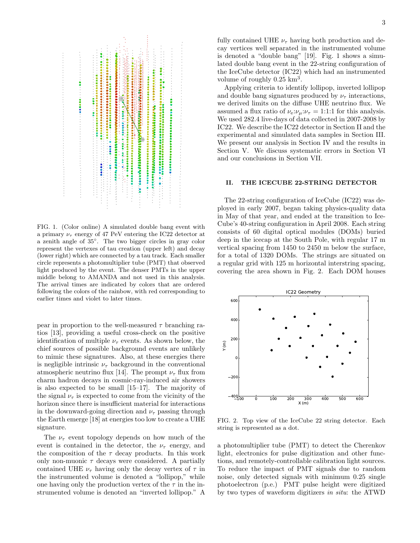

FIG. 1. (Color online) A simulated double bang event with a primary  $\nu_{\tau}$  energy of 47 PeV entering the IC22 detector at a zenith angle of 35◦ . The two bigger circles in gray color represent the vertexes of tau creation (upper left) and decay (lower right) which are connected by a tau track. Each smaller circle represents a photomultiplier tube (PMT) that observed light produced by the event. The denser PMTs in the upper middle belong to AMANDA and not used in this analysis. The arrival times are indicated by colors that are ordered following the colors of the rainbow, with red corresponding to earlier times and violet to later times.

pear in proportion to the well-measured  $\tau$  branching ratios [13], providing a useful cross-check on the positive identification of multiple  $\nu_{\tau}$  events. As shown below, the chief sources of possible background events are unlikely to mimic these signatures. Also, at these energies there is negligible intrinsic  $\nu_{\tau}$  background in the conventional atmospheric neutrino flux [14]. The prompt  $\nu_{\tau}$  flux from charm hadron decays in cosmic-ray-induced air showers is also expected to be small [15–17]. The majority of the signal  $\nu_{\tau}$  is expected to come from the vicinity of the horizon since there is insufficient material for interactions in the downward-going direction and  $\nu_{\tau}$  passing through the Earth emerge [18] at energies too low to create a UHE signature.

The  $\nu_{\tau}$  event topology depends on how much of the event is contained in the detector, the  $\nu_{\tau}$  energy, and the composition of the  $\tau$  decay products. In this work only non-muonic  $\tau$  decays were considered. A partially contained UHE  $\nu_{\tau}$  having only the decay vertex of  $\tau$  in the instrumented volume is denoted a "lollipop," while one having only the production vertex of the  $\tau$  in the instrumented volume is denoted an "inverted lollipop." A

fully contained UHE  $\nu_{\tau}$  having both production and decay vertices well separated in the instrumented volume is denoted a "double bang" [19]. Fig. 1 shows a simulated double bang event in the 22-string configuration of the IceCube detector (IC22) which had an instrumented volume of roughly  $0.25 \text{ km}^3$ .

Applying criteria to identify lollipop, inverted lollipop and double bang signatures produced by  $\nu_{\tau}$  interactions, we derived limits on the diffuse UHE neutrino flux. We assumed a flux ratio of  $\nu_e:\nu_\mu:\nu_\tau = 1:1:1$  for this analysis. We used 282.4 live-days of data collected in 2007-2008 by IC22. We describe the IC22 detector in Section II and the experimental and simulated data samples in Section III. We present our analysis in Section IV and the results in Section V. We discuss systematic errors in Section VI and our conclusions in Section VII.

# II. THE ICECUBE 22-STRING DETECTOR

The 22-string configuration of IceCube (IC22) was deployed in early 2007, began taking physics-quality data in May of that year, and ended at the transition to Ice-Cube's 40-string configuration in April 2008. Each string consists of 60 digital optical modules (DOMs) buried deep in the icecap at the South Pole, with regular 17 m vertical spacing from 1450 to 2450 m below the surface, for a total of 1320 DOMs. The strings are situated on a regular grid with 125 m horizontal interstring spacing, covering the area shown in Fig. 2. Each DOM houses



FIG. 2. Top view of the IceCube 22 string detector. Each string is represented as a dot.

a photomultiplier tube (PMT) to detect the Cherenkov light, electronics for pulse digitization and other functions, and remotely-controllable calibration light sources. To reduce the impact of PMT signals due to random noise, only detected signals with minimum 0.25 single photoelectron (p.e.) PMT pulse height were digitized by two types of waveform digitizers in situ: the ATWD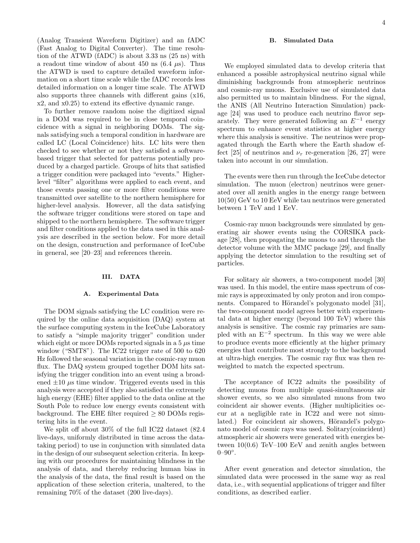(Analog Transient Waveform Digitizer) and an fADC (Fast Analog to Digital Converter). The time resolution of the ATWD (fADC) is about 3.33 ns (25 ns) with a readout time window of about 450 ns  $(6.4 \mu s)$ . Thus the ATWD is used to capture detailed waveform information on a short time scale while the fADC records less detailed information on a longer time scale. The ATWD also supports three channels with different gains (x16, x2, and x0.25) to extend its effective dynamic range.

To further remove random noise the digitized signal in a DOM was required to be in close temporal coincidence with a signal in neighboring DOMs. The signals satisfying such a temporal condition in hardware are called LC (Local Coincidence) hits. LC hits were then checked to see whether or not they satisfied a softwarebased trigger that selected for patterns potentially produced by a charged particle. Groups of hits that satisfied a trigger condition were packaged into "events." Higherlevel "filter" algorithms were applied to each event, and those events passing one or more filter conditions were transmitted over satellite to the northern hemisphere for higher-level analysis. However, all the data satisfying the software trigger conditions were stored on tape and shipped to the northern hemisphere. The software trigger and filter conditions applied to the data used in this analysis are described in the section below. For more detail on the design, construction and performance of IceCube in general, see [20–23] and references therein.

#### III. DATA

#### A. Experimental Data

The DOM signals satisfying the LC condition were required by the online data acquisition (DAQ) system at the surface computing system in the IceCube Laboratory to satisfy a "simple majority trigger" condition under which eight or more DOMs reported signals in a  $5 \mu s$  time window ("SMT8"). The IC22 trigger rate of 500 to 620 Hz followed the seasonal variation in the cosmic-ray muon flux. The DAQ system grouped together DOM hits satisfying the trigger condition into an event using a broadened  $\pm 10 \mu s$  time window. Triggered events used in this analysis were accepted if they also satisfied the extremely high energy (EHE) filter applied to the data online at the South Pole to reduce low energy events consistent with background. The EHE filter required  $\geq 80$  DOMs registering hits in the event.

We split off about 30% of the full IC22 dataset (82.4 live-days, uniformly distributed in time across the datataking period) to use in conjunction with simulated data in the design of our subsequent selection criteria. In keeping with our procedures for maintaining blindness in the analysis of data, and thereby reducing human bias in the analysis of the data, the final result is based on the application of these selection criteria, unaltered, to the remaining 70% of the dataset (200 live-days).

# B. Simulated Data

We employed simulated data to develop criteria that enhanced a possible astrophysical neutrino signal while diminishing backgrounds from atmospheric neutrinos and cosmic-ray muons. Exclusive use of simulated data also permitted us to maintain blindness. For the signal, the ANIS (All Neutrino Interaction Simulation) package [24] was used to produce each neutrino flavor separately. They were generated following an  $E^{-1}$  energy spectrum to enhance event statistics at higher energy where this analysis is sensitive. The neutrinos were propagated through the Earth where the Earth shadow effect [25] of neutrinos and  $\nu_{\tau}$  re-generation [26, 27] were taken into account in our simulation.

The events were then run through the IceCube detector simulation. The muon (electron) neutrinos were generated over all zenith angles in the energy range between 10(50) GeV to 10 EeV while tau neutrinos were generated between 1 TeV and 1 EeV.

Cosmic-ray muon backgrounds were simulated by generating air shower events using the CORSIKA package [28], then propagating the muons to and through the detector volume with the MMC package [29], and finally applying the detector simulation to the resulting set of particles.

For solitary air showers, a two-component model [30] was used. In this model, the entire mass spectrum of cosmic rays is approximated by only proton and iron components. Compared to Hörandel's polygonato model [31], the two-component model agrees better with experimental data at higher energy (beyond 100 TeV) where this analysis is sensitive. The cosmic ray primaries are sampled with an E<sup>−</sup><sup>2</sup> spectrum. In this way we were able to produce events more efficiently at the higher primary energies that contribute most strongly to the background at ultra-high energies. The cosmic ray flux was then reweighted to match the expected spectrum.

The acceptance of IC22 admits the possibility of detecting muons from multiple quasi-simultaneous air shower events, so we also simulated muons from two coincident air shower events. (Higher multiplicities occur at a negligible rate in IC22 and were not simulated.) For coincident air showers, Hörandel's polygonato model of cosmic rays was used. Solitary(coincident) atmospheric air showers were generated with energies between  $10(0.6)$  TeV–100 EeV and zenith angles between  $0 - 90^\circ$ .

After event generation and detector simulation, the simulated data were processed in the same way as real data, i.e., with sequential applications of trigger and filter conditions, as described earlier.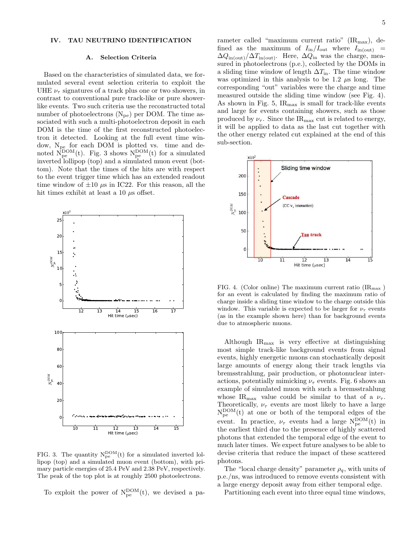# IV. TAU NEUTRINO IDENTIFICATION

#### A. Selection Criteria

Based on the characteristics of simulated data, we formulated several event selection criteria to exploit the UHE  $\nu_{\tau}$  signatures of a track plus one or two showers, in contrast to conventional pure track-like or pure showerlike events. Two such criteria use the reconstructed total number of photoelectrons  $(N_{pe})$  per DOM. The time associated with such a multi-photoelectron deposit in each DOM is the time of the first reconstructed photoelectron it detected. Looking at the full event time window,  $N_{pe}$  for each DOM is plotted vs. time and denoted  $\dot{N}_{pe}^{DOM}(t)$ . Fig. 3 shows  $N_{pe}^{DOM}(t)$  for a simulated inverted lollipop (top) and a simulated muon event (bottom). Note that the times of the hits are with respect to the event trigger time which has an extended readout time window of  $\pm 10 \mu s$  in IC22. For this reason, all the hit times exhibit at least a 10  $\mu$ s offset.



FIG. 3. The quantity  $N_{pe}^{DOM}(t)$  for a simulated inverted lollipop (top) and a simulated muon event (bottom), with primary particle energies of 25.4 PeV and 2.38 PeV, respectively. The peak of the top plot is at roughly 2500 photoelectrons.

To exploit the power of  $N_{pe}^{DOM}(t)$ , we devised a pa-

rameter called "maximum current ratio"  $(\text{IR}_{\text{max}})$ , defined as the maximum of  $I_{\text{in}}/I_{\text{out}}$  where  $I_{\text{in}(\text{out})}$  =  $\Delta Q_{\text{in(out)}}/\Delta T_{\text{in(out)}}$ . Here,  $\Delta Q_{\text{in}}$  was the charge, measured in photoelectrons (p.e.), collected by the DOMs in a sliding time window of length  $\Delta T_{\text{in}}$ . The time window was optimized in this analysis to be 1.2  $\mu$ s long. The corresponding "out" variables were the charge and time measured outside the sliding time window (see Fig. 4). As shown in Fig. 5,  $IR_{\text{max}}$  is small for track-like events and large for events containing showers, such as those produced by  $\nu_{\tau}$ . Since the IR<sub>max</sub> cut is related to energy, it will be applied to data as the last cut together with the other energy related cut explained at the end of this sub-section.



FIG. 4. (Color online) The maximum current ratio  $(\text{IR}_{\text{max}})$ for an event is calculated by finding the maximum ratio of charge inside a sliding time window to the charge outside this window. This variable is expected to be larger for  $\nu_{\tau}$  events (as in the example shown here) than for background events due to atmospheric muons.

Although  $IR_{\text{max}}$  is very effective at distinguishing most simple track-like background events from signal events, highly energetic muons can stochastically deposit large amounts of energy along their track lengths via bremsstrahlung, pair production, or photonuclear interactions, potentially mimicking  $\nu_{\tau}$  events. Fig. 6 shows an example of simulated muon with such a bremsstrahlung whose IR<sub>max</sub> value could be similar to that of a  $\nu_{\tau}$ . Theoretically,  $\nu_{\tau}$  events are most likely to have a large  $N_{pe}^{DOM}(t)$  at one or both of the temporal edges of the event. In practice,  $\nu_{\tau}$  events had a large  $N_{pe}^{DOM}(t)$  in the earliest third due to the presence of highly scattered photons that extended the temporal edge of the event to much later times. We expect future analyses to be able to devise criteria that reduce the impact of these scattered photons.

The "local charge density" parameter  $\rho_q$ , with units of p.e./ns, was introduced to remove events consistent with a large energy deposit away from either temporal edge.

Partitioning each event into three equal time windows,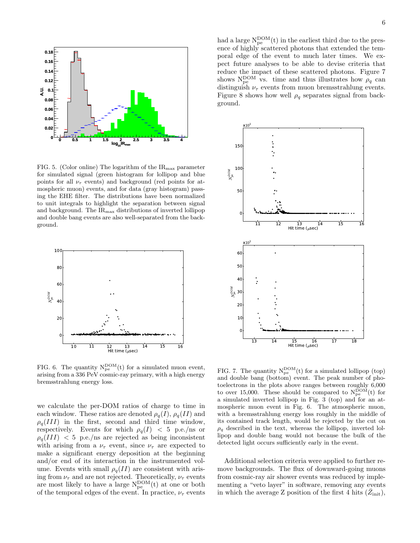

FIG. 5. (Color online) The logarithm of the  $IR_{\text{max}}$  parameter for simulated signal (green histogram for lollipop and blue points for all  $\nu_{\tau}$  events) and background (red points for atmospheric muon) events, and for data (gray histogram) passing the EHE filter. The distributions have been normalized to unit integrals to highlight the separation between signal and background. The  $IR<sub>max</sub>$  distributions of inverted lollipop and double bang events are also well-separated from the background.



FIG. 6. The quantity  $N_{pe}^{DOM}(t)$  for a simulated muon event, arising from a 336 PeV cosmic-ray primary, with a high energy bremsstrahlung energy loss.

we calculate the per-DOM ratios of charge to time in each window. These ratios are denoted  $\rho_q(I)$ ,  $\rho_q(II)$  and  $\rho_q(III)$  in the first, second and third time window, respectively. Events for which  $\rho_q(I) < 5$  p.e./ns or  $\rho_q(III)$  < 5 p.e./ns are rejected as being inconsistent with arising from a  $\nu_{\tau}$  event, since  $\nu_{\tau}$  are expected to make a significant energy deposition at the beginning and/or end of its interaction in the instrumented volume. Events with small  $\rho_q(II)$  are consistent with arising from  $\nu_{\tau}$  and are not rejected. Theoretically,  $\nu_{\tau}$  events are most likely to have a large  $N_{pe}^{DOM}(t)$  at one or both of the temporal edges of the event. In practice,  $\nu_{\tau}$  events

had a large  $N_{pe}^{DOM}(t)$  in the earliest third due to the presence of highly scattered photons that extended the temporal edge of the event to much later times. We expect future analyses to be able to devise criteria that reduce the impact of these scattered photons. Figure 7 shows  $N_{pe}^{DOM}$  vs. time and thus illustrates how  $\rho_q$  can distinguish  $\nu_{\tau}$  events from muon bremsstrahlung events. Figure 8 shows how well  $\rho_q$  separates signal from background.



FIG. 7. The quantity  $N_{pe}^{DOM}(t)$  for a simulated lollipop (top) and double bang (bottom) event. The peak number of photoelectrons in the plots above ranges between roughly 6,000 to over 15,000. These should be compared to  $N_{pe}^{DOM}(t)$  for a simulated inverted lollipop in Fig. 3 (top) and for an atmospheric muon event in Fig. 6. The atmospheric muon, with a bremsstrahlung energy loss roughly in the middle of its contained track length, would be rejected by the cut on  $\rho_q$  described in the text, whereas the lollipop, inverted lollipop and double bang would not because the bulk of the detected light occurs sufficiently early in the event.

Additional selection criteria were applied to further remove backgrounds. The flux of downward-going muons from cosmic-ray air shower events was reduced by implementing a "veto layer" in software, removing any events in which the average Z position of the first 4 hits  $(\bar{Z}_{init})$ ,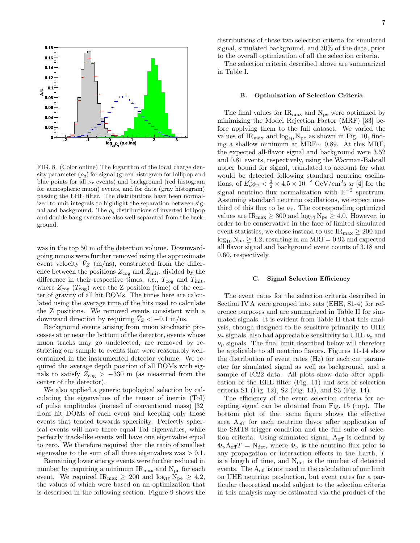

FIG. 8. (Color online) The logarithm of the local charge density parameter  $(\rho_q)$  for signal (green histogram for lollipop and blue points for all  $\nu_{\tau}$  events) and background (red histogram for atmospheric muon) events, and for data (gray histogram) passing the EHE filter. The distributions have been normalized to unit integrals to highlight the separation between signal and background. The  $\rho_q$  distributions of inverted lollipop and double bang events are also well-separated from the background.

was in the top 50 m of the detection volume. Downwardgoing muons were further removed using the approximate event velocity  $\bar{V}_Z$  (m/ns), constructed from the difference between the positions  $Z_{\text{cog}}$  and  $\bar{Z}_{\text{init}}$ , divided by the difference in their respective times, *i.e.*,  $T_{\text{cog}}$  and  $\overline{T}_{\text{init}}$ , where  $Z_{\text{cog}}$  ( $T_{\text{cog}}$ ) were the Z position (time) of the center of gravity of all hit DOMs. The times here are calculated using the average time of the hits used to calculate the Z positions. We removed events consistent with a downward direction by requiring  $V_Z < -0.1$  m/ns.

Background events arising from muon stochastic processes at or near the bottom of the detector, events whose muon tracks may go undetected, are removed by restricting our sample to events that were reasonably wellcontained in the instrumented detector volume. We required the average depth position of all DOMs with signals to satisfy  $Z_{\text{cog}} > -330$  m (as measured from the center of the detector).

We also applied a generic topological selection by calculating the eigenvalues of the tensor of inertia (ToI) of pulse amplitudes (instead of conventional mass) [32] from hit DOMs of each event and keeping only those events that tended towards sphericity. Perfectly spherical events will have three equal ToI eigenvalues, while perfectly track-like events will have one eigenvalue equal to zero. We therefore required that the ratio of smallest eigenvalue to the sum of all three eigenvalues was  $> 0.1$ .

Remaining lower energy events were further reduced in number by requiring a minimum  $IR_{\text{max}}$  and  $N_{\text{pe}}$  for each event. We required  $IR_{\text{max}} \geq 200$  and  $\log_{10} N_{\text{pe}} \geq 4.2$ , the values of which were based on an optimization that is described in the following section. Figure 9 shows the distributions of these two selection criteria for simulated signal, simulated background, and 30% of the data, prior to the overall optimization of all the selection criteria.

The selection criteria described above are summarized in Table I.

#### B. Optimization of Selection Criteria

The final values for  $IR_{\text{max}}$  and  $N_{\text{pe}}$  were optimized by minimizing the Model Rejection Factor (MRF) [33] before applying them to the full dataset. We varied the values of  $IR_{\text{max}}$  and  $\log_{10} N_{\text{pe}}$  as shown in Fig. 10, finding a shallow minimum at MRF∼ 0.89. At this MRF, the expected all-flavor signal and background were 3.52 and 0.81 events, respectively, using the Waxman-Bahcall upper bound for signal, translated to account for what would be detected following standard neutrino oscillations, of  $E_{\nu}^2 \phi_{\nu} < \frac{3}{2} \times 4.5 \times 10^{-8} \text{ GeV/cm}^2 \text{s s}$  [4] for the signal neutrino flux normalization with  $E^{-2}$  spectrum. Assuming standard neutrino oscillations, we expect onethird of this flux to be  $\nu_{\tau}$ . The corresponding optimized values are  $IR_{\text{max}} \geq 300$  and  $log_{10} N_{\text{pe}} \geq 4.0$ . However, in order to be conservative in the face of limited simulated event statistics, we chose instead to use  $IR_{\text{max}} \geq 200$  and  $log_{10} N_{pe} \geq 4.2$ , resulting in an MRF= 0.93 and expected all flavor signal and background event counts of 3.18 and 0.60, respectively.

# C. Signal Selection Efficiency

The event rates for the selection criteria described in Section IV A were grouped into sets (EHE, S1-4) for reference purposes and are summarized in Table II for simulated signals. It is evident from Table II that this analysis, though designed to be sensitive primarily to UHE  $\nu_{\tau}$  signals, also had appreciable sensitivity to UHE  $\nu_{e}$  and  $\nu_{\mu}$  signals. The final limit described below will therefore be applicable to all neutrino flavors. Figures 11-14 show the distribution of event rates (Hz) for each cut parameter for simulated signal as well as background, and a sample of IC22 data. All plots show data after application of the EHE filter (Fig. 11) and sets of selection criteria S1 (Fig. 12), S2 (Fig. 13), and S3 (Fig. 14).

The efficiency of the event selection criteria for accepting signal can be obtained from Fig. 15 (top). The bottom plot of that same figure shows the effective area Aeff for each neutrino flavor after application of the SMT8 trigger condition and the full suite of selection criteria. Using simulated signal,  $A_{\text{eff}}$  is defined by  $\Phi_{\nu}A_{\text{eff}}T = N_{\text{det}}$ , where  $\Phi_{\nu}$  is the neutrino flux prior to any propagation or interaction effects in the Earth, T is a length of time, and  $N_{\text{det}}$  is the number of detected events. The Aeff is not used in the calculation of our limit on UHE neutrino production, but event rates for a particular theoretical model subject to the selection criteria in this analysis may be estimated via the product of the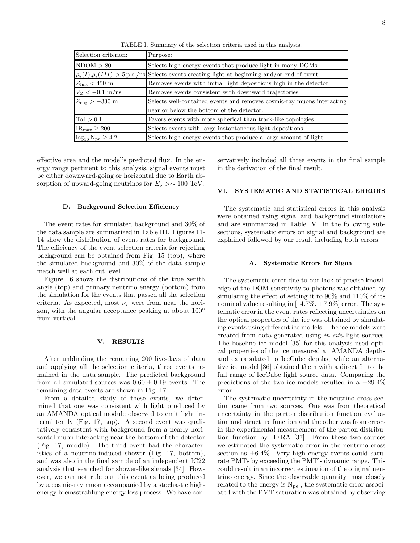TABLE I. Summary of the selection criteria used in this analysis.

| Selection criterion:                    | Purpose:                                                                                             |
|-----------------------------------------|------------------------------------------------------------------------------------------------------|
| NDOM > 80                               | Selects high energy events that produce light in many DOMs.                                          |
|                                         | $\rho_q(I), \rho_q(III) > 5$ p.e./ns Selects events creating light at beginning and/or end of event. |
| $\bar{Z}_{\text{init}} < 450 \text{ m}$ | Removes events with initial light depositions high in the detector.                                  |
| $\bar{V}_Z < -0.1$ m/ns                 | Removes events consistent with downward trajectories.                                                |
| $Z_{\rm cog} > -330 \; {\rm m}$         | Selects well-contained events and removes cosmic-ray muons interacting                               |
|                                         | near or below the bottom of the detector.                                                            |
| $\text{ToI} > 0.1$                      | Favors events with more spherical than track-like topologies.                                        |
| $IR_{\text{max}} \geq 200$              | Selects events with large instantaneous light depositions.                                           |
| $log_{10} N_{pe} \ge 4.2$               | Selects high energy events that produce a large amount of light.                                     |

effective area and the model's predicted flux. In the energy range pertinent to this analysis, signal events must be either downward-going or horizontal due to Earth absorption of upward-going neutrinos for  $E_{\nu} > \sim 100$  TeV.

# D. Background Selection Efficiency

The event rates for simulated background and 30% of the data sample are summarized in Table III. Figures 11- 14 show the distribution of event rates for background. The efficiency of the event selection criteria for rejecting background can be obtained from Fig. 15 (top), where the simulated background and 30% of the data sample match well at each cut level.

Figure 16 shows the distributions of the true zenith angle (top) and primary neutrino energy (bottom) from the simulation for the events that passed all the selection criteria. As expected, most  $\nu_{\tau}$  were from near the horizon, with the angular acceptance peaking at about 100◦ from vertical.

#### V. RESULTS

After unblinding the remaining 200 live-days of data and applying all the selection criteria, three events remained in the data sample. The predicted background from all simulated sources was  $0.60 \pm 0.19$  events. The remaining data events are shown in Fig. 17.

From a detailed study of these events, we determined that one was consistent with light produced by an AMANDA optical module observed to emit light intermittently (Fig. 17, top). A second event was qualitatively consistent with background from a nearly horizontal muon interacting near the bottom of the detector (Fig. 17, middle). The third event had the characteristics of a neutrino-induced shower (Fig. 17, bottom), and was also in the final sample of an independent IC22 analysis that searched for shower-like signals [34]. However, we can not rule out this event as being produced by a cosmic-ray muon accompanied by a stochastic highenergy bremsstrahlung energy loss process. We have conservatively included all three events in the final sample in the derivation of the final result.

# VI. SYSTEMATIC AND STATISTICAL ERRORS

The systematic and statistical errors in this analysis were obtained using signal and background simulations and are summarized in Table IV. In the following subsections, systematic errors on signal and background are explained followed by our result including both errors.

#### A. Systematic Errors for Signal

The systematic error due to our lack of precise knowledge of the DOM sensitivity to photons was obtained by simulating the effect of setting it to 90% and 110% of its nominal value resulting in  $[-4.7\%, +7.9\%]$  error. The systematic error in the event rates reflecting uncertainties on the optical properties of the ice was obtained by simulating events using different ice models. The ice models were created from data generated using in situ light sources. The baseline ice model [35] for this analysis used optical properties of the ice measured at AMANDA depths and extrapolated to IceCube depths, while an alternative ice model [36] obtained them with a direct fit to the full range of IceCube light source data. Comparing the predictions of the two ice models resulted in a  $+29.4\%$ error.

The systematic uncertainty in the neutrino cross section came from two sources. One was from theoretical uncertainty in the parton distribution function evaluation and structure function and the other was from errors in the experimental measurement of the parton distribution function by HERA [37]. From these two sources we estimated the systematic error in the neutrino cross section as  $\pm 6.4\%$ . Very high energy events could saturate PMTs by exceeding the PMT's dynamic range. This could result in an incorrect estimation of the original neutrino energy. Since the observable quantity most closely related to the energy is  $N_{pe}$ , the systematic error associated with the PMT saturation was obtained by observing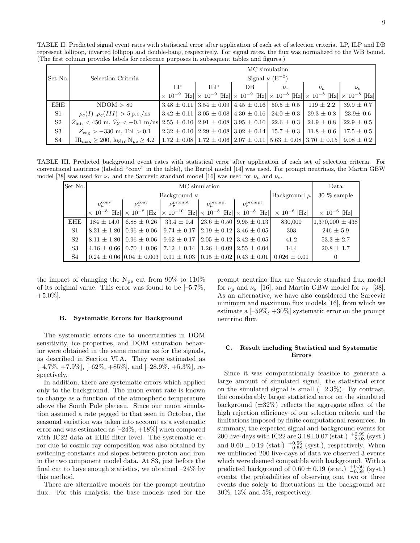TABLE II. Predicted signal event rates with statistical error after application of each set of selection criteria. LP, ILP and DB represent lollipop, inverted lollipop and double-bang, respectively. For signal rates, the flux was normalized to the WB bound. (The first column provides labels for reference purposes in subsequent tables and figures.)

|                |                                                                                                                                                                          | MC simulation                   |            |     |                                                                               |                |                                                                                                                                     |
|----------------|--------------------------------------------------------------------------------------------------------------------------------------------------------------------------|---------------------------------|------------|-----|-------------------------------------------------------------------------------|----------------|-------------------------------------------------------------------------------------------------------------------------------------|
| Set No.        | Selection Criteria                                                                                                                                                       | Signal $\nu$ (E <sup>-2</sup> ) |            |     |                                                                               |                |                                                                                                                                     |
|                |                                                                                                                                                                          | $L_{\rm P}$                     | <b>ILP</b> | DB. | $\nu_{\tau}$                                                                  | $\nu_{\mu}$    | $\nu_e$                                                                                                                             |
|                |                                                                                                                                                                          |                                 |            |     |                                                                               |                | $\times 10^{-9}$ [Hz] $\times 10^{-9}$ [Hz] $\times 10^{-9}$ [Hz] $\times 10^{-8}$ [Hz] $\times 10^{-8}$ [Hz] $\times 10^{-8}$ [Hz] |
| EHE            | NDOM > 80                                                                                                                                                                |                                 |            |     | $13.48 \pm 0.11$ $3.54 \pm 0.09$ $4.45 \pm 0.16$ $50.5 \pm 0.5$               | $119 \pm 2.2$  | $39.9 \pm 0.7$                                                                                                                      |
| S <sub>1</sub> | $\rho_q(I)$ , $\rho_q(III) > 5$ p.e./ns                                                                                                                                  |                                 |            |     | $3.42 \pm 0.11$ $3.05 \pm 0.08$ $4.30 \pm 0.16$ $24.0 \pm 0.3$                | $29.3 \pm 0.8$ | $23.9 \pm 0.6$                                                                                                                      |
| S <sub>2</sub> | $\bar{Z}_{\text{init}}$ < 450 m, $\bar{V}_Z$ < -0.1 m/ns 2.55 $\pm$ 0.10   2.91 $\pm$ 0.08   3.95 $\pm$ 0.16   22.6 $\pm$ 0.3                                            |                                 |            |     |                                                                               | $24.9 \pm 0.8$ | $22.9 \pm 0.5$                                                                                                                      |
| S <sub>3</sub> | $Z_{\rm cov} > -330$ m, ToI $> 0.1$                                                                                                                                      |                                 |            |     | $2.32 \pm 0.10$ $2.29 \pm 0.08$ $3.02 \pm 0.14$ $15.7 \pm 0.3$ 11.8 $\pm$ 0.6 |                | $17.5 \pm 0.5$                                                                                                                      |
| S4             | $IR_{\text{max}} \ge 200$ , $\log_{10} N_{\text{pe}} \ge 4.2$   1.72 $\pm$ 0.08   1.72 $\pm$ 0.06   2.07 $\pm$ 0.11   5.63 $\pm$ 0.08   3.70 $\pm$ 0.15   9.08 $\pm$ 0.2 |                                 |            |     |                                                                               |                |                                                                                                                                     |

TABLE III. Predicted background event rates with statistical error after application of each set of selection criteria. For conventional neutrinos (labeled "conv" in the table), the Bartol model [14] was used. For prompt neutrinos, the Martin GBW model [38] was used for  $\nu_{\tau}$  and the Sarcevic standard model [16] was used for  $\nu_{\mu}$  and  $\nu_{e}$ .

| Set No.        | MC simulation                        |                                  |                                                                                         |                               |                                   | Data                                                                                                                                 |                       |
|----------------|--------------------------------------|----------------------------------|-----------------------------------------------------------------------------------------|-------------------------------|-----------------------------------|--------------------------------------------------------------------------------------------------------------------------------------|-----------------------|
|                | Background $\mu$<br>Background $\nu$ |                                  |                                                                                         |                               |                                   |                                                                                                                                      | $30\%$ sample         |
|                | $\nu_{\mu}^{\rm conv}$               | $\nu_e^{\rm conv}$               | $\nu_{\tau}^{\mathrm{prompt}}$                                                          | $\nu_{\mu}^{\mathrm{prompt}}$ | $\nu_e^{\rm prompt}$              |                                                                                                                                      |                       |
|                |                                      |                                  |                                                                                         |                               |                                   | $\times 10^{-8}$ [Hz] $\times 10^{-8}$ [Hz] $\times 10^{-10}$ [Hz] $\times 10^{-8}$ [Hz] $\times 10^{-8}$ [Hz] $\times 10^{-6}$ [Hz] | $\times 10^{-6}$ [Hz] |
| <b>EHE</b>     |                                      | $184 \pm 14.0$   6.88 $\pm$ 0.26 | $33.4 \pm 0.4$                                                                          |                               | $23.6 \pm 0.50$   $9.95 \pm 0.13$ | 830,000                                                                                                                              | $1,370,000 \pm 438$   |
| S <sub>1</sub> |                                      |                                  | $8.21 \pm 1.80$   $0.96 \pm 0.06$   $9.74 \pm 0.17$   $2.19 \pm 0.12$   $3.46 \pm 0.05$ |                               |                                   | 303                                                                                                                                  | $246 \pm 5.9$         |
| S <sub>2</sub> |                                      |                                  | $8.11 \pm 1.80$   $0.96 \pm 0.06$   $9.62 \pm 0.17$   $2.05 \pm 0.12$   $3.42 \pm 0.05$ |                               |                                   | 41.2                                                                                                                                 | $53.3 \pm 2.7$        |
| S <sub>3</sub> |                                      |                                  | $4.16 \pm 0.66$   0.70 $\pm$ 0.06   7.12 $\pm$ 0.14                                     |                               | $1.26 \pm 0.09$ $2.55 \pm 0.04$   | 14.4                                                                                                                                 | $20.8 \pm 1.7$        |
| S4             |                                      |                                  |                                                                                         |                               |                                   | $0.24 \pm 0.06$ $\vert 0.04 \pm 0.003 \vert$ $0.91 \pm 0.03$ $\vert 0.15 \pm 0.02 \vert 0.43 \pm 0.01 \vert 0.026 \pm 0.01$          | $\overline{0}$        |

the impact of changing the  $N_{pe}$  cut from 90% to 110% of its original value. This error was found to be [–5.7%,  $+5.0\%$ ].

#### B. Systematic Errors for Background

The systematic errors due to uncertainties in DOM sensitivity, ice properties, and DOM saturation behavior were obtained in the same manner as for the signals, as described in Section VI A. They were estimated as  $[-4.7\%, +7.9\%]$ ,  $[-62\%, +85\%]$ , and  $[-28.9\%, +5.3\%]$ , respectively.

In addition, there are systematic errors which applied only to the background. The muon event rate is known to change as a function of the atmospheric temperature above the South Pole plateau. Since our muon simulation assumed a rate pegged to that seen in October, the seasonal variation was taken into account as a systematic error and was estimated as  $[-24\%, +18\%]$  when compared with IC22 data at EHE filter level. The systematic error due to cosmic ray composition was also obtained by switching constants and slopes between proton and iron in the two component model data. At S3, just before the final cut to have enough statistics, we obtained  $-24\%$  by this method.

There are alternative models for the prompt neutrino flux. For this analysis, the base models used for the

prompt neutrino flux are Sarcevic standard flux model for  $\nu_{\mu}$  and  $\nu_{e}$  [16], and Martin GBW model for  $\nu_{\tau}$  [38]. As an alternative, we have also considered the Sarcevic minimum and maximum flux models [16], from which we estimate a [–59%, +30%] systematic error on the prompt neutrino flux.

# C. Result including Statistical and Systematic Errors

Since it was computationally feasible to generate a large amount of simulated signal, the statistical error on the simulated signal is small  $(\pm 2.3\%)$ . By contrast, the considerably larger statistical error on the simulated background  $(\pm 32\%)$  reflects the aggregate effect of the high rejection efficiency of our selection criteria and the limitations imposed by finite computational resources. In summary, the expected signal and background events for 200 live-days with IC22 are  $3.18 \pm 0.07$  (stat.)  $^{+2.99}_{-3.08}$  (syst.) and  $0.60 \pm 0.19$  (stat.)  $^{+0.56}_{-0.58}$  (syst.), respectively. When we unblinded 200 live-days of data we observed 3 events which were deemed compatible with background. With a predicted background of  $0.60 \pm 0.19$  (stat.)  $^{+0.56}_{-0.58}$  (syst.) events, the probabilities of observing one, two or three events due solely to fluctuations in the background are 30%, 13% and 5%, respectively.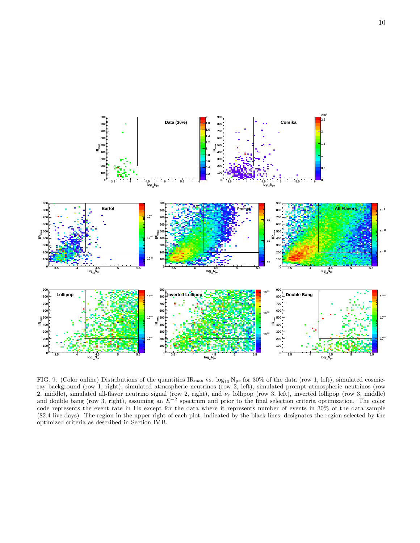

FIG. 9. (Color online) Distributions of the quantities  $IR_{\text{max}}$  vs.  $\log_{10} N_{\text{pe}}$  for 30% of the data (row 1, left), simulated cosmicray background (row 1, right), simulated atmospheric neutrinos (row 2, left), simulated prompt atmospheric neutrinos (row 2, middle), simulated all-flavor neutrino signal (row 2, right), and  $\nu_{\tau}$  lollipop (row 3, left), inverted lollipop (row 3, middle) and double bang (row 3, right), assuming an  $E^{-2}$  spectrum and prior to the final selection criteria optimization. The color code represents the event rate in Hz except for the data where it represents number of events in 30% of the data sample (82.4 live-days). The region in the upper right of each plot, indicated by the black lines, designates the region selected by the optimized criteria as described in Section IV B.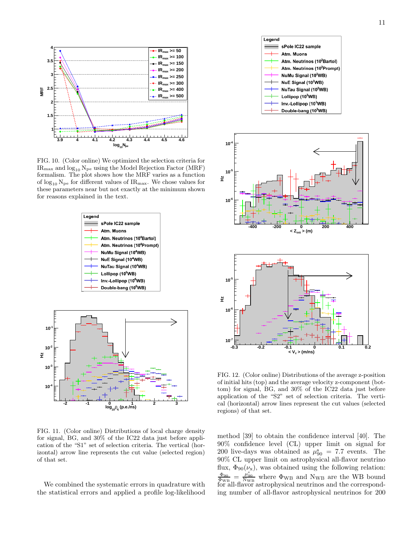

FIG. 10. (Color online) We optimized the selection criteria for  $IR_{\text{max}}$  and  $log_{10} N_{\text{pe}}$  using the Model Rejection Factor (MRF) formalism. The plot shows how the MRF varies as a function of  $\log_{10} N_{\text{pe}}$  for different values of IR<sub>max</sub>. We chose values for these parameters near but not exactly at the minimum shown for reasons explained in the text.



FIG. 11. (Color online) Distributions of local charge density for signal, BG, and 30% of the IC22 data just before application of the "S1" set of selection criteria. The vertical (horizontal) arrow line represents the cut value (selected region) of that set.

We combined the systematic errors in quadrature with the statistical errors and applied a profile log-likelihood



FIG. 12. (Color online) Distributions of the average z-position of initial hits (top) and the average velocity z-component (bottom) for signal, BG, and 30% of the IC22 data just before application of the "S2" set of selection criteria. The vertical (horizontal) arrow lines represent the cut values (selected regions) of that set.

method [39] to obtain the confidence interval [40]. The 90% confidence level (CL) upper limit on signal for 200 live-days was obtained as  $\mu_{90}^s = 7.7$  events. The 90% CL upper limit on astrophysical all-flavor neutrino flux,  $\Phi_{90}(\nu_{\rm x})$ , was obtained using the following relation:  $\frac{\Phi_{90}}{\Phi_{WB}} = \frac{\mu_{90}^{80}}{N_{WB}}$  where  $\Phi_{WB}$  and  $N_{WB}$  are the WB bound for all-flavor astrophysical neutrinos and the corresponding number of all-flavor astrophysical neutrinos for 200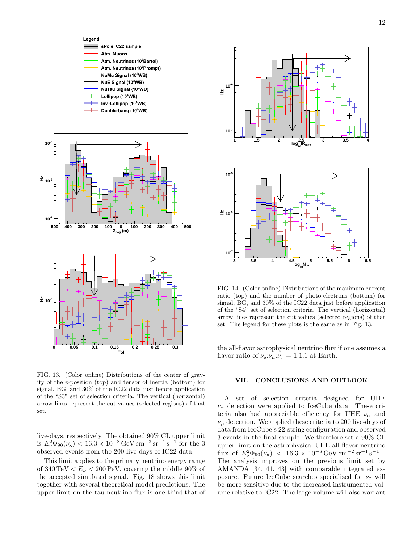





FIG. 13. (Color online) Distributions of the center of gravity of the z-position (top) and tensor of inertia (bottom) for signal, BG, and 30% of the IC22 data just before application of the "S3" set of selection criteria. The vertical (horizontal) arrow lines represent the cut values (selected regions) of that set.

live-days, respectively. The obtained 90% CL upper limit is  $E_{\nu}^2 \Phi_{90}(\nu_x) < 16.3 \times 10^{-8} \,\text{GeV} \,\text{cm}^{-2} \,\text{sr}^{-1} \,\text{s}^{-1}$  for the 3 observed events from the 200 live-days of IC22 data.

This limit applies to the primary neutrino energy range of 340 TeV  $\lt E_\nu \lt 200$  PeV, covering the middle 90% of the accepted simulated signal. Fig. 18 shows this limit together with several theoretical model predictions. The upper limit on the tau neutrino flux is one third that of



FIG. 14. (Color online) Distributions of the maximum current ratio (top) and the number of photo-electrons (bottom) for signal, BG, and 30% of the IC22 data just before application of the "S4" set of selection criteria. The vertical (horizontal) arrow lines represent the cut values (selected regions) of that set. The legend for these plots is the same as in Fig. 13.

the all-flavor astrophysical neutrino flux if one assumes a flavor ratio of  $\nu_e:\nu_\mu:\nu_\tau=1:1:1$  at Earth.

#### VII. CONCLUSIONS AND OUTLOOK

A set of selection criteria designed for UHE  $\nu_{\tau}$  detection were applied to IceCube data. These criteria also had appreciable efficiency for UHE  $\nu_e$  and  $\nu_{\mu}$  detection. We applied these criteria to 200 live-days of data from IceCube's 22-string configuration and observed 3 events in the final sample. We therefore set a 90% CL upper limit on the astrophysical UHE all-flavor neutrino flux of  $E_{\nu}^2 \Phi_{90}(\nu_x)$  < 16.3 × 10<sup>-8</sup> GeV cm<sup>-2</sup> sr<sup>-1</sup> s<sup>-1</sup>. The analysis improves on the previous limit set by AMANDA [34, 41, 43] with comparable integrated exposure. Future IceCube searches specialized for  $\nu_{\tau}$  will be more sensitive due to the increased instrumented volume relative to IC22. The large volume will also warrant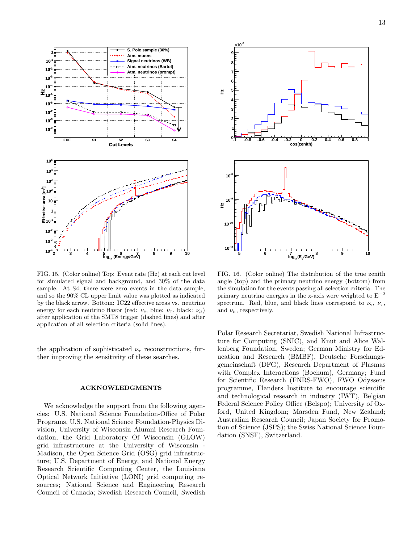

FIG. 15. (Color online) Top: Event rate (Hz) at each cut level for simulated signal and background, and 30% of the data sample. At S4, there were zero events in the data sample, and so the 90% CL upper limit value was plotted as indicated by the black arrow. Bottom: IC22 effective areas vs. neutrino energy for each neutrino flavor (red:  $\nu_e$ , blue:  $\nu_\tau$ , black:  $\nu_\mu$ ) after application of the SMT8 trigger (dashed lines) and after application of all selection criteria (solid lines).

the application of sophisticated  $\nu_{\tau}$  reconstructions, further improving the sensitivity of these searches.

#### ACKNOWLEDGMENTS

We acknowledge the support from the following agencies: U.S. National Science Foundation-Office of Polar Programs, U.S. National Science Foundation-Physics Division, University of Wisconsin Alumni Research Foundation, the Grid Laboratory Of Wisconsin (GLOW) grid infrastructure at the University of Wisconsin - Madison, the Open Science Grid (OSG) grid infrastructure; U.S. Department of Energy, and National Energy Research Scientific Computing Center, the Louisiana Optical Network Initiative (LONI) grid computing resources; National Science and Engineering Research Council of Canada; Swedish Research Council, Swedish



FIG. 16. (Color online) The distribution of the true zenith angle (top) and the primary neutrino energy (bottom) from the simulation for the events passing all selection criteria. The primary neutrino energies in the x-axis were weighted to  $E^{-2}$ spectrum. Red, blue, and black lines correspond to  $\nu_{\rm e}$ ,  $\nu_{\tau}$ , and  $\nu_{\mu}$ , respectively.

Polar Research Secretariat, Swedish National Infrastructure for Computing (SNIC), and Knut and Alice Wallenberg Foundation, Sweden; German Ministry for Education and Research (BMBF), Deutsche Forschungsgemeinschaft (DFG), Research Department of Plasmas with Complex Interactions (Bochum), Germany; Fund for Scientific Research (FNRS-FWO), FWO Odysseus programme, Flanders Institute to encourage scientific and technological research in industry (IWT), Belgian Federal Science Policy Office (Belspo); University of Oxford, United Kingdom; Marsden Fund, New Zealand; Australian Research Council; Japan Society for Promotion of Science (JSPS); the Swiss National Science Foundation (SNSF), Switzerland.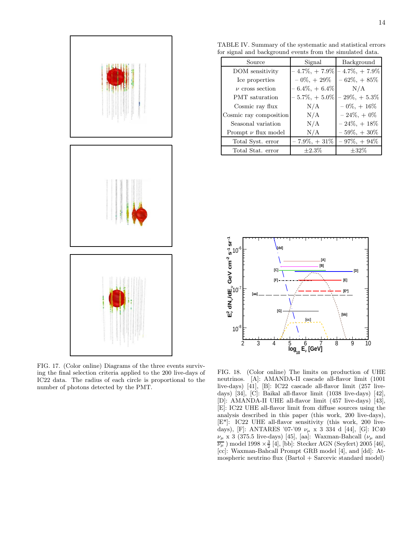

FIG. 17. (Color online) Diagrams of the three events surviving the final selection criteria applied to the 200 live-days of IC22 data. The radius of each circle is proportional to the number of photons detected by the PMT.

TABLE IV. Summary of the systematic and statistical errors for signal and background events from the simulated data.

| Source                  | Signal           | Background       |
|-------------------------|------------------|------------------|
| DOM sensitivity         | $-4.7\%, +7.9\%$ | $-4.7\%, +7.9\%$ |
| Ice properties          | $-0\%, +29\%$    | $-62\%, +85\%$   |
| $\nu$ cross section     | $-6.4\%, +6.4\%$ | N/A              |
| <b>PMT</b> saturation   | $-5.7\%, +5.0\%$ | $-29\%, +5.3\%$  |
| Cosmic ray flux         | N/A              | $-0\%, +16\%$    |
| Cosmic ray composition  | N/A              | $-24\%, +0\%$    |
| Seasonal variation      | N/A              | $-24\%, +18\%$   |
| Prompt $\nu$ flux model | N/A              | $-59\%, +30\%$   |
| Total Syst. error       | $-7.9\%, +31\%$  | $-97\%, +94\%$   |
| Total Stat. error       | $\pm 2.3\%$      | $\pm 32\%$       |



FIG. 18. (Color online) The limits on production of UHE neutrinos. [A]: AMANDA-II cascade all-flavor limit (1001 live-days) [41], [B]: IC22 cascade all-flavor limit (257 livedays) [34], [C]: Baikal all-flavor limit (1038 live-days) [42], [D]: AMANDA-II UHE all-flavor limit (457 live-days) [43], [E]: IC22 UHE all-flavor limit from diffuse sources using the analysis described in this paper (this work, 200 live-days), [E\*]: IC22 UHE all-flavor sensitivity (this work, 200 livedays), [F]: ANTARES '07-'09  $\nu_{\mu}$  x 3 334 d [44], [G]: IC40  $\nu_{\mu}$  x 3 (375.5 live-days) [45], [aa]: Waxman-Bahcall ( $\nu_{\mu}$  and  $\overline{\nu_{\mu}}$ ) model 1998 ×  $\frac{3}{2}$  [4], [bb]: Stecker AGN (Seyfert) 2005 [46], [cc]: Waxman-Bahcall Prompt GRB model [4], and [dd]: Atmospheric neutrino flux (Bartol + Sarcevic standard model)